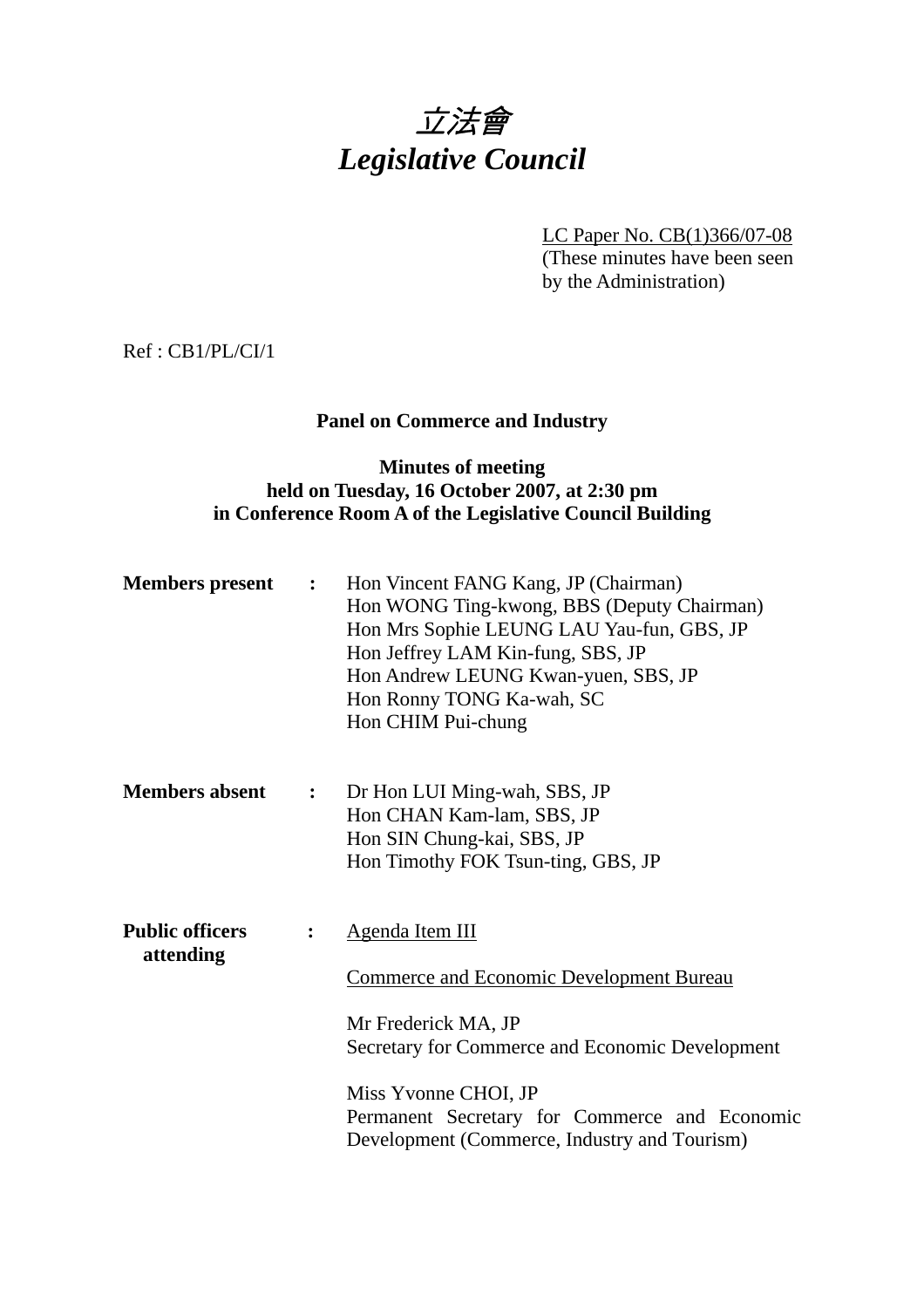# 立法會 *Legislative Council*

LC Paper No. CB(1)366/07-08 (These minutes have been seen by the Administration)

Ref : CB1/PL/CI/1

## **Panel on Commerce and Industry**

## **Minutes of meeting held on Tuesday, 16 October 2007, at 2:30 pm in Conference Room A of the Legislative Council Building**

| <b>Members</b> present              | : $\ddot{\phantom{a}}$ | Hon Vincent FANG Kang, JP (Chairman)<br>Hon WONG Ting-kwong, BBS (Deputy Chairman)<br>Hon Mrs Sophie LEUNG LAU Yau-fun, GBS, JP<br>Hon Jeffrey LAM Kin-fung, SBS, JP<br>Hon Andrew LEUNG Kwan-yuen, SBS, JP<br>Hon Ronny TONG Ka-wah, SC<br>Hon CHIM Pui-chung        |
|-------------------------------------|------------------------|-----------------------------------------------------------------------------------------------------------------------------------------------------------------------------------------------------------------------------------------------------------------------|
| <b>Members absent</b>               | $\ddot{\cdot}$         | Dr Hon LUI Ming-wah, SBS, JP<br>Hon CHAN Kam-lam, SBS, JP<br>Hon SIN Chung-kai, SBS, JP<br>Hon Timothy FOK Tsun-ting, GBS, JP                                                                                                                                         |
| <b>Public officers</b><br>attending |                        | Agenda Item III<br><b>Commerce and Economic Development Bureau</b><br>Mr Frederick MA, JP<br>Secretary for Commerce and Economic Development<br>Miss Yvonne CHOI, JP<br>Permanent Secretary for Commerce and Economic<br>Development (Commerce, Industry and Tourism) |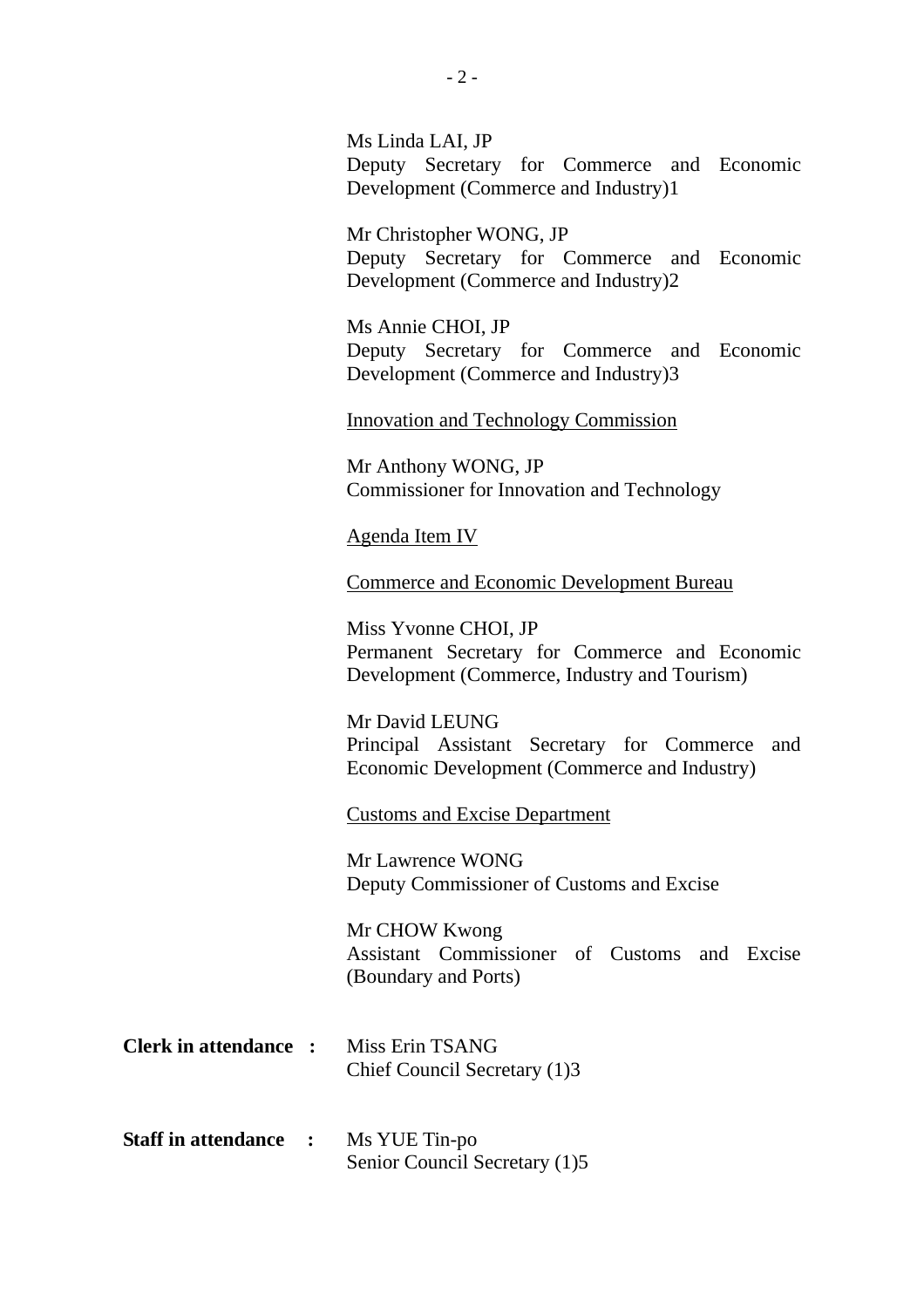| Ms Linda LAI, JP                     |  |  |                                            |  |  |  |  |  |  |  |
|--------------------------------------|--|--|--------------------------------------------|--|--|--|--|--|--|--|
|                                      |  |  | Deputy Secretary for Commerce and Economic |  |  |  |  |  |  |  |
| Development (Commerce and Industry)1 |  |  |                                            |  |  |  |  |  |  |  |

Mr Christopher WONG, JP Deputy Secretary for Commerce and Economic Development (Commerce and Industry)2

Ms Annie CHOI, JP Deputy Secretary for Commerce and Economic Development (Commerce and Industry)3

Innovation and Technology Commission

Mr Anthony WONG, JP Commissioner for Innovation and Technology

Agenda Item IV

Commerce and Economic Development Bureau

Miss Yvonne CHOI, JP Permanent Secretary for Commerce and Economic Development (Commerce, Industry and Tourism)

Mr David LEUNG Principal Assistant Secretary for Commerce and Economic Development (Commerce and Industry)

Customs and Excise Department

Mr Lawrence WONG Deputy Commissioner of Customs and Excise

Mr CHOW Kwong Assistant Commissioner of Customs and Excise (Boundary and Ports)

- **Clerk in attendance :** Miss Erin TSANG Chief Council Secretary (1)3
- **Staff in attendance :** Ms YUE Tin-po Senior Council Secretary (1)5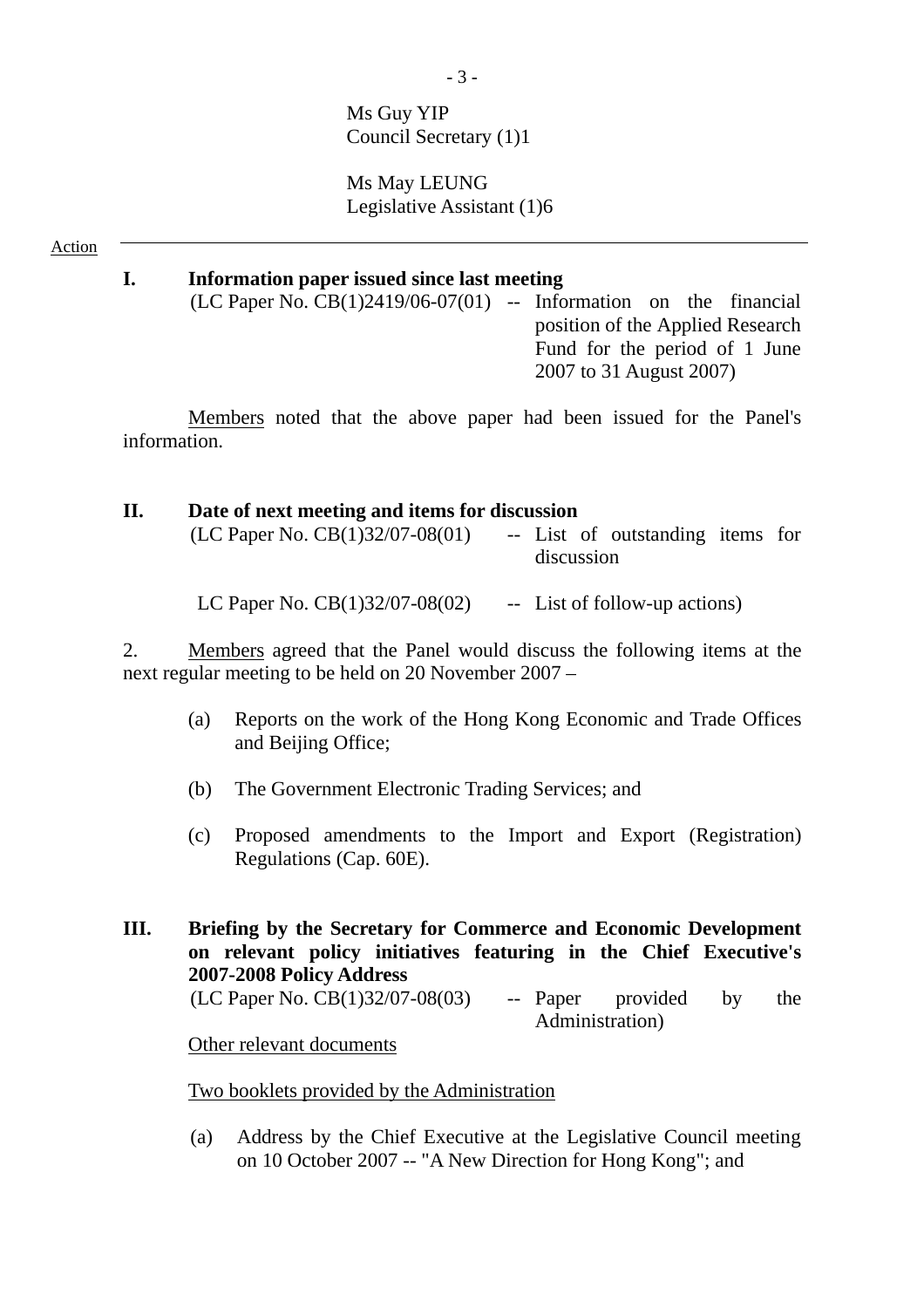Ms Guy YIP Council Secretary (1)1

Ms May LEUNG Legislative Assistant (1)6

Action

#### **I. Information paper issued since last meeting**

 $(LC$  Paper No.  $CB(1)2419/06-07(01)$  -- Information on the financial position of the Applied Research Fund for the period of 1 June 2007 to 31 August 2007)

 Members noted that the above paper had been issued for the Panel's information.

#### **II. Date of next meeting and items for discussion**

| (LC Paper No. $CB(1)32/07-08(01)$ ) |            |  |  | -- List of outstanding items for |  |  |
|-------------------------------------|------------|--|--|----------------------------------|--|--|
|                                     | discussion |  |  |                                  |  |  |

LC Paper No.  $CB(1)32/07-08(02)$  -- List of follow-up actions)

2. Members agreed that the Panel would discuss the following items at the next regular meeting to be held on 20 November 2007 –

- (a) Reports on the work of the Hong Kong Economic and Trade Offices and Beijing Office:
- (b) The Government Electronic Trading Services; and
- (c) Proposed amendments to the Import and Export (Registration) Regulations (Cap. 60E).

**III. Briefing by the Secretary for Commerce and Economic Development on relevant policy initiatives featuring in the Chief Executive's 2007-2008 Policy Address**   $(LC$  Paper No.  $CB(1)32/07-08(03)$  -- Paper provided by the Administration) Other relevant documents

Two booklets provided by the Administration

(a) Address by the Chief Executive at the Legislative Council meeting on 10 October 2007 -- "A New Direction for Hong Kong"; and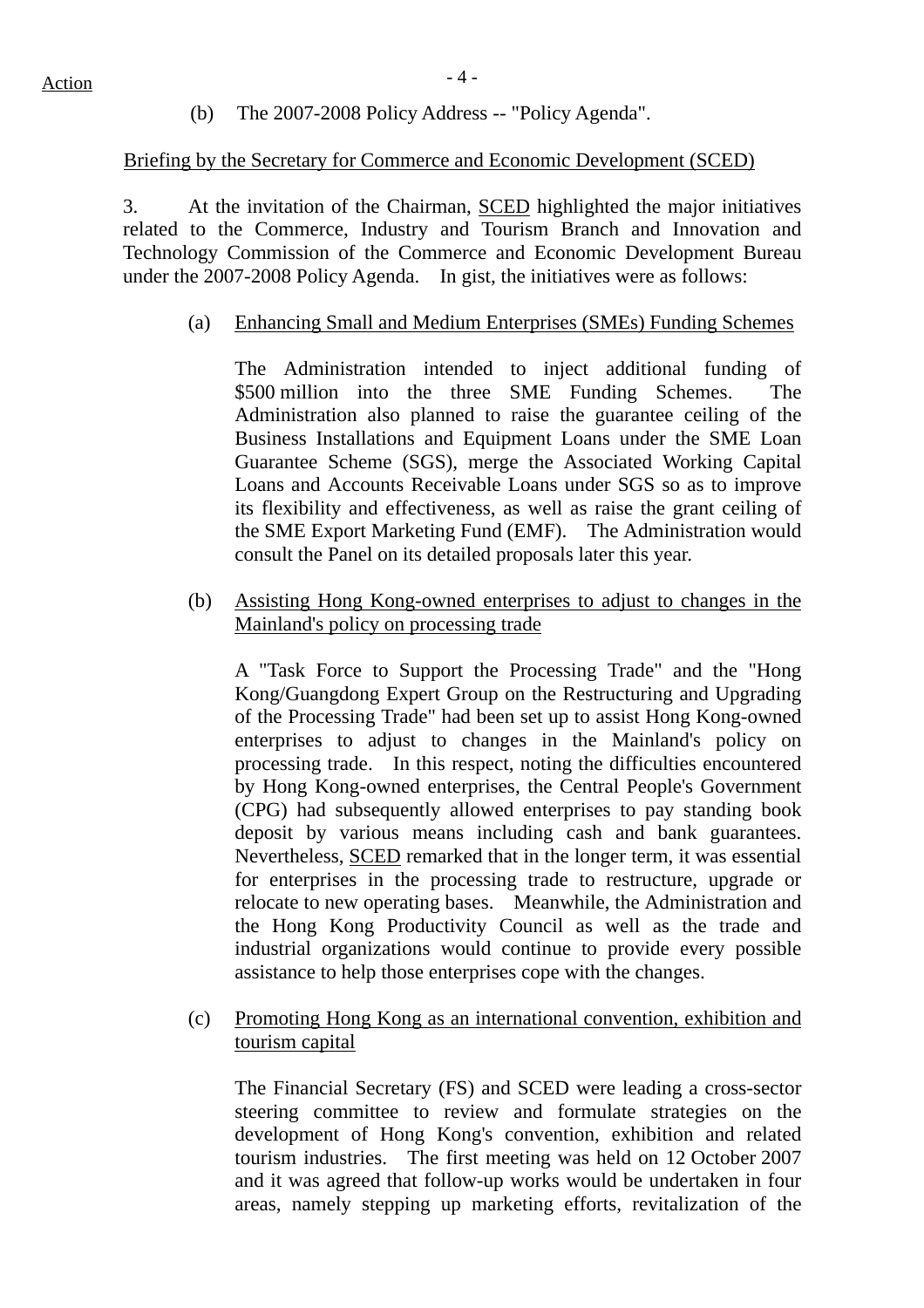(b) The 2007-2008 Policy Address -- "Policy Agenda".

## Briefing by the Secretary for Commerce and Economic Development (SCED)

3. At the invitation of the Chairman, SCED highlighted the major initiatives related to the Commerce, Industry and Tourism Branch and Innovation and Technology Commission of the Commerce and Economic Development Bureau under the 2007-2008 Policy Agenda. In gist, the initiatives were as follows:

#### (a) Enhancing Small and Medium Enterprises (SMEs) Funding Schemes

The Administration intended to inject additional funding of \$500 million into the three SME Funding Schemes. The Administration also planned to raise the guarantee ceiling of the Business Installations and Equipment Loans under the SME Loan Guarantee Scheme (SGS), merge the Associated Working Capital Loans and Accounts Receivable Loans under SGS so as to improve its flexibility and effectiveness, as well as raise the grant ceiling of the SME Export Marketing Fund (EMF). The Administration would consult the Panel on its detailed proposals later this year.

(b) Assisting Hong Kong-owned enterprises to adjust to changes in the Mainland's policy on processing trade

A "Task Force to Support the Processing Trade" and the "Hong Kong/Guangdong Expert Group on the Restructuring and Upgrading of the Processing Trade" had been set up to assist Hong Kong-owned enterprises to adjust to changes in the Mainland's policy on processing trade. In this respect, noting the difficulties encountered by Hong Kong-owned enterprises, the Central People's Government (CPG) had subsequently allowed enterprises to pay standing book deposit by various means including cash and bank guarantees. Nevertheless, SCED remarked that in the longer term, it was essential for enterprises in the processing trade to restructure, upgrade or relocate to new operating bases. Meanwhile, the Administration and the Hong Kong Productivity Council as well as the trade and industrial organizations would continue to provide every possible assistance to help those enterprises cope with the changes.

(c) Promoting Hong Kong as an international convention, exhibition and tourism capital

The Financial Secretary (FS) and SCED were leading a cross-sector steering committee to review and formulate strategies on the development of Hong Kong's convention, exhibition and related tourism industries. The first meeting was held on 12 October 2007 and it was agreed that follow-up works would be undertaken in four areas, namely stepping up marketing efforts, revitalization of the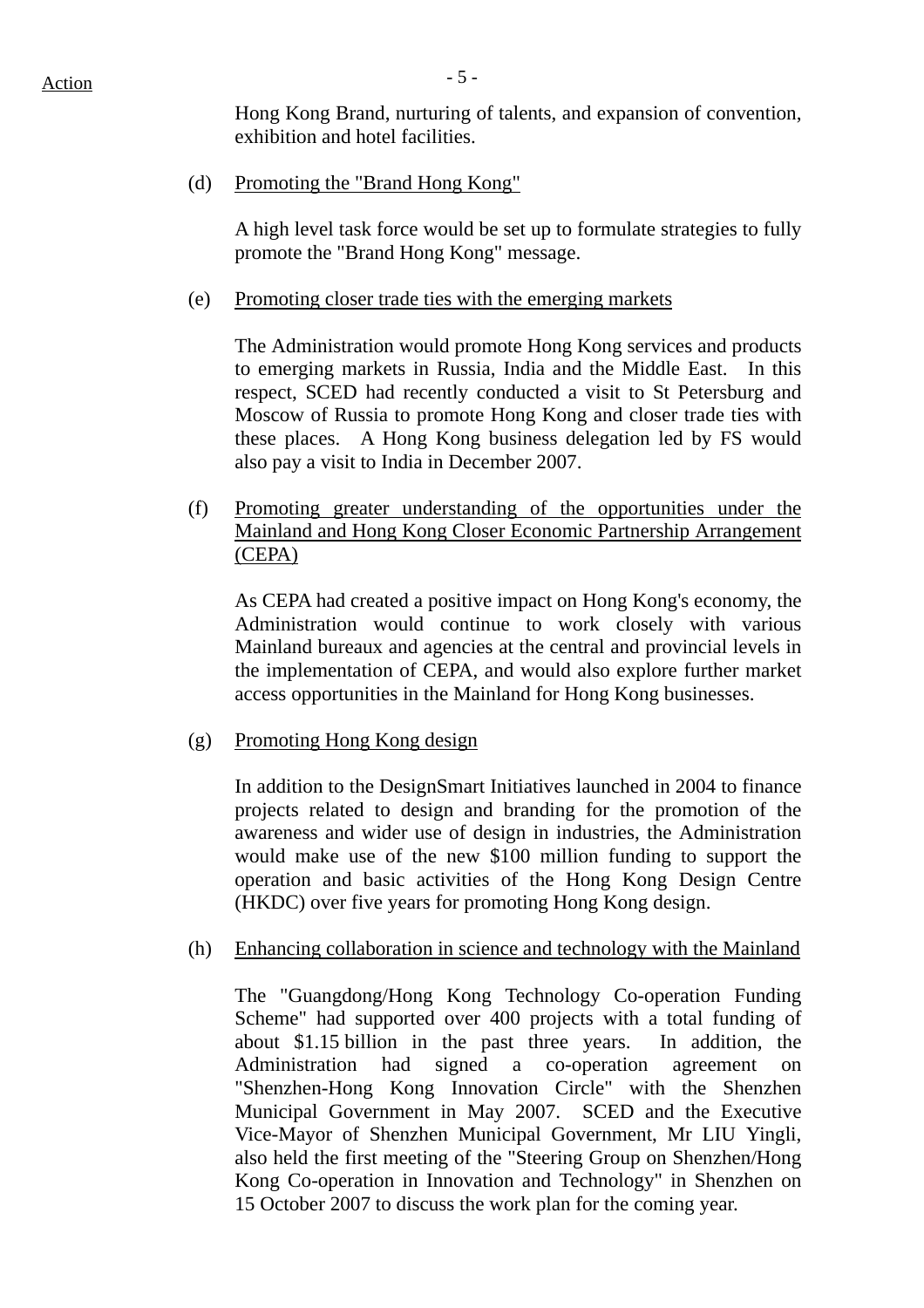Hong Kong Brand, nurturing of talents, and expansion of convention, exhibition and hotel facilities.

(d) Promoting the "Brand Hong Kong"

A high level task force would be set up to formulate strategies to fully promote the "Brand Hong Kong" message.

(e) Promoting closer trade ties with the emerging markets

The Administration would promote Hong Kong services and products to emerging markets in Russia, India and the Middle East. In this respect, SCED had recently conducted a visit to St Petersburg and Moscow of Russia to promote Hong Kong and closer trade ties with these places. A Hong Kong business delegation led by FS would also pay a visit to India in December 2007.

(f) Promoting greater understanding of the opportunities under the Mainland and Hong Kong Closer Economic Partnership Arrangement (CEPA)

As CEPA had created a positive impact on Hong Kong's economy, the Administration would continue to work closely with various Mainland bureaux and agencies at the central and provincial levels in the implementation of CEPA, and would also explore further market access opportunities in the Mainland for Hong Kong businesses.

(g) Promoting Hong Kong design

In addition to the DesignSmart Initiatives launched in 2004 to finance projects related to design and branding for the promotion of the awareness and wider use of design in industries, the Administration would make use of the new \$100 million funding to support the operation and basic activities of the Hong Kong Design Centre (HKDC) over five years for promoting Hong Kong design.

(h) Enhancing collaboration in science and technology with the Mainland

The "Guangdong/Hong Kong Technology Co-operation Funding Scheme" had supported over 400 projects with a total funding of about \$1.15 billion in the past three years. In addition, the Administration had signed a co-operation agreement on "Shenzhen-Hong Kong Innovation Circle" with the Shenzhen Municipal Government in May 2007. SCED and the Executive Vice-Mayor of Shenzhen Municipal Government, Mr LIU Yingli, also held the first meeting of the "Steering Group on Shenzhen/Hong Kong Co-operation in Innovation and Technology" in Shenzhen on 15 October 2007 to discuss the work plan for the coming year.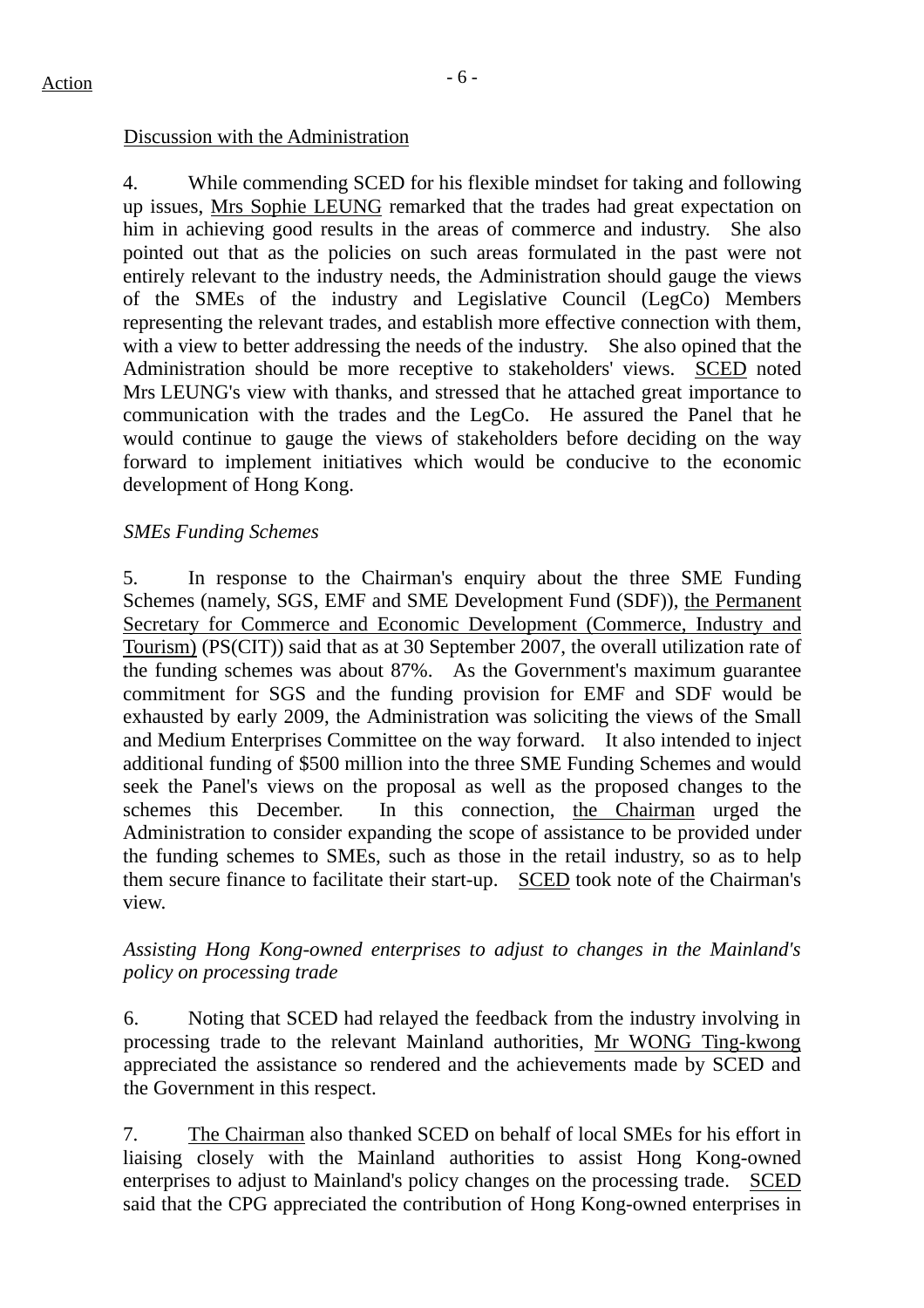#### Discussion with the Administration

4. While commending SCED for his flexible mindset for taking and following up issues, Mrs Sophie LEUNG remarked that the trades had great expectation on him in achieving good results in the areas of commerce and industry. She also pointed out that as the policies on such areas formulated in the past were not entirely relevant to the industry needs, the Administration should gauge the views of the SMEs of the industry and Legislative Council (LegCo) Members representing the relevant trades, and establish more effective connection with them, with a view to better addressing the needs of the industry. She also opined that the Administration should be more receptive to stakeholders' views. SCED noted Mrs LEUNG's view with thanks, and stressed that he attached great importance to communication with the trades and the LegCo. He assured the Panel that he would continue to gauge the views of stakeholders before deciding on the way forward to implement initiatives which would be conducive to the economic development of Hong Kong.

#### *SMEs Funding Schemes*

5. In response to the Chairman's enquiry about the three SME Funding Schemes (namely, SGS, EMF and SME Development Fund (SDF)), the Permanent Secretary for Commerce and Economic Development (Commerce, Industry and Tourism) (PS(CIT)) said that as at 30 September 2007, the overall utilization rate of the funding schemes was about 87%. As the Government's maximum guarantee commitment for SGS and the funding provision for EMF and SDF would be exhausted by early 2009, the Administration was soliciting the views of the Small and Medium Enterprises Committee on the way forward. It also intended to inject additional funding of \$500 million into the three SME Funding Schemes and would seek the Panel's views on the proposal as well as the proposed changes to the schemes this December. In this connection, the Chairman urged the Administration to consider expanding the scope of assistance to be provided under the funding schemes to SMEs, such as those in the retail industry, so as to help them secure finance to facilitate their start-up. SCED took note of the Chairman's view.

#### *Assisting Hong Kong-owned enterprises to adjust to changes in the Mainland's policy on processing trade*

6. Noting that SCED had relayed the feedback from the industry involving in processing trade to the relevant Mainland authorities, Mr WONG Ting-kwong appreciated the assistance so rendered and the achievements made by SCED and the Government in this respect.

7. The Chairman also thanked SCED on behalf of local SMEs for his effort in liaising closely with the Mainland authorities to assist Hong Kong-owned enterprises to adjust to Mainland's policy changes on the processing trade. SCED said that the CPG appreciated the contribution of Hong Kong-owned enterprises in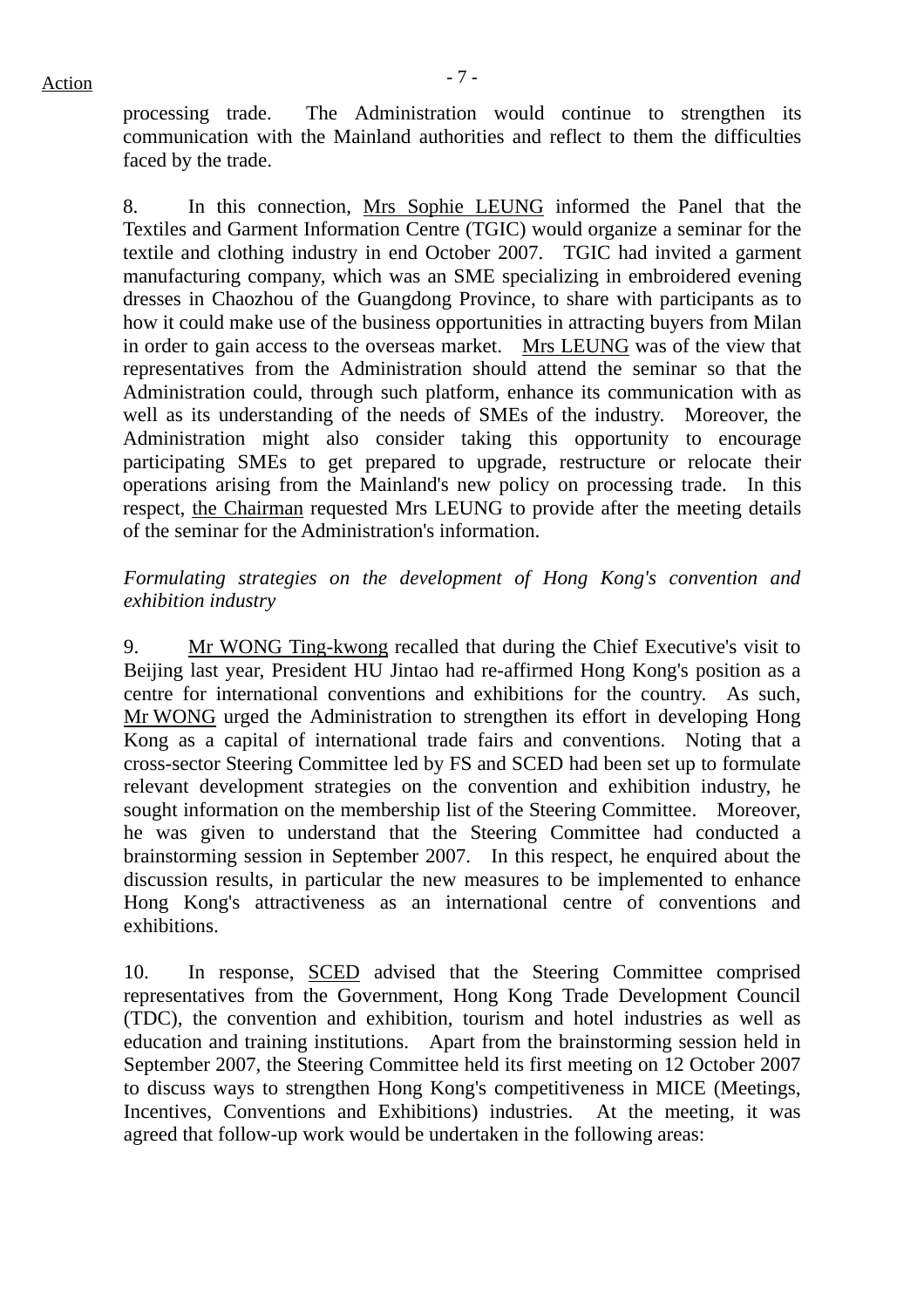processing trade. The Administration would continue to strengthen its communication with the Mainland authorities and reflect to them the difficulties faced by the trade.

8. In this connection, Mrs Sophie LEUNG informed the Panel that the Textiles and Garment Information Centre (TGIC) would organize a seminar for the textile and clothing industry in end October 2007. TGIC had invited a garment manufacturing company, which was an SME specializing in embroidered evening dresses in Chaozhou of the Guangdong Province, to share with participants as to how it could make use of the business opportunities in attracting buyers from Milan in order to gain access to the overseas market. Mrs LEUNG was of the view that representatives from the Administration should attend the seminar so that the Administration could, through such platform, enhance its communication with as well as its understanding of the needs of SMEs of the industry. Moreover, the Administration might also consider taking this opportunity to encourage participating SMEs to get prepared to upgrade, restructure or relocate their operations arising from the Mainland's new policy on processing trade. In this respect, the Chairman requested Mrs LEUNG to provide after the meeting details of the seminar for the Administration's information.

## *Formulating strategies on the development of Hong Kong's convention and exhibition industry*

9. Mr WONG Ting-kwong recalled that during the Chief Executive's visit to Beijing last year, President HU Jintao had re-affirmed Hong Kong's position as a centre for international conventions and exhibitions for the country. As such, Mr WONG urged the Administration to strengthen its effort in developing Hong Kong as a capital of international trade fairs and conventions. Noting that a cross-sector Steering Committee led by FS and SCED had been set up to formulate relevant development strategies on the convention and exhibition industry, he sought information on the membership list of the Steering Committee. Moreover, he was given to understand that the Steering Committee had conducted a brainstorming session in September 2007. In this respect, he enquired about the discussion results, in particular the new measures to be implemented to enhance Hong Kong's attractiveness as an international centre of conventions and exhibitions.

10. In response, SCED advised that the Steering Committee comprised representatives from the Government, Hong Kong Trade Development Council (TDC), the convention and exhibition, tourism and hotel industries as well as education and training institutions. Apart from the brainstorming session held in September 2007, the Steering Committee held its first meeting on 12 October 2007 to discuss ways to strengthen Hong Kong's competitiveness in MICE (Meetings, Incentives, Conventions and Exhibitions) industries. At the meeting, it was agreed that follow-up work would be undertaken in the following areas: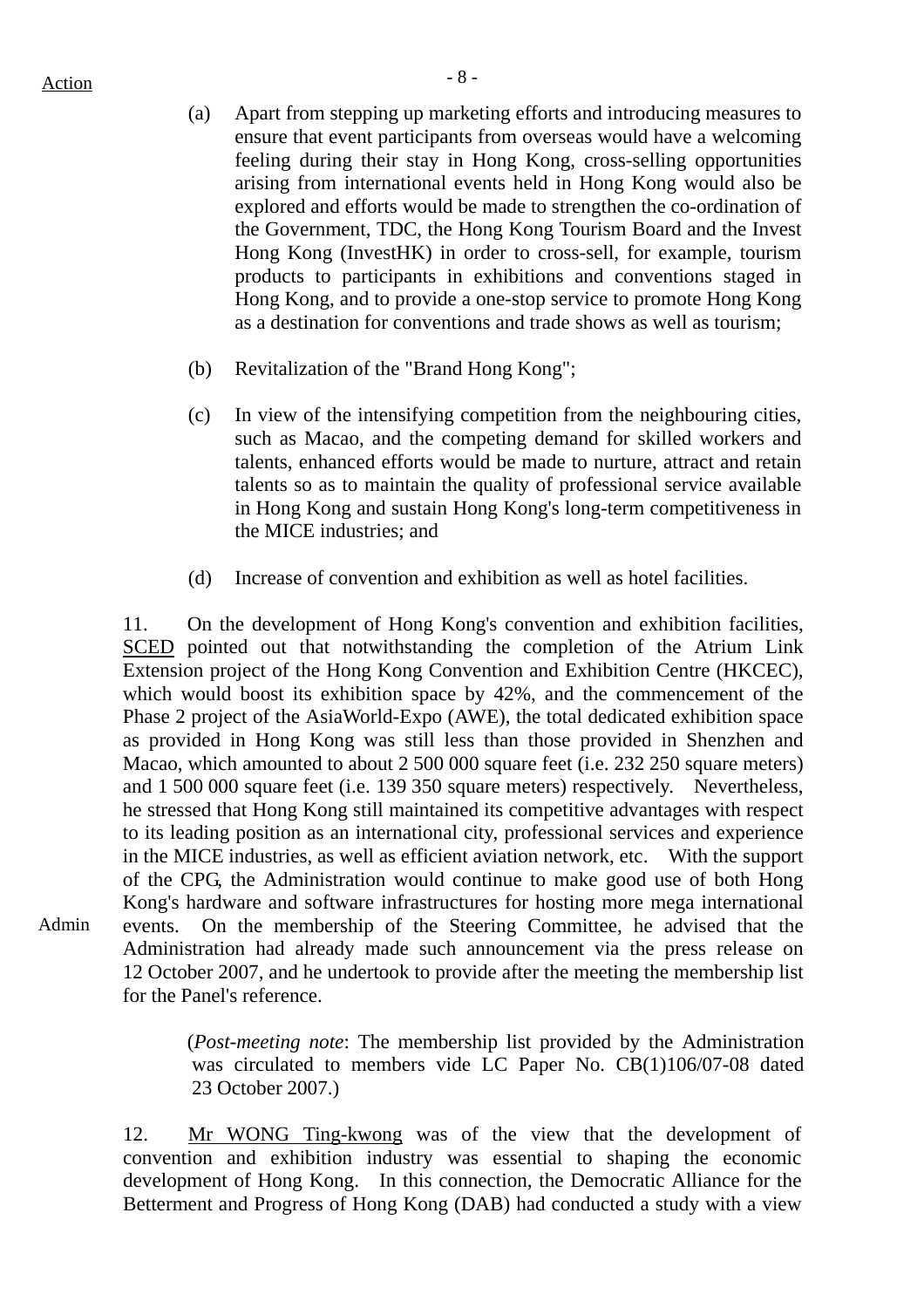Admin

- (a) Apart from stepping up marketing efforts and introducing measures to ensure that event participants from overseas would have a welcoming feeling during their stay in Hong Kong, cross-selling opportunities arising from international events held in Hong Kong would also be explored and efforts would be made to strengthen the co-ordination of the Government, TDC, the Hong Kong Tourism Board and the Invest Hong Kong (InvestHK) in order to cross-sell, for example, tourism products to participants in exhibitions and conventions staged in Hong Kong, and to provide a one-stop service to promote Hong Kong as a destination for conventions and trade shows as well as tourism;
- (b) Revitalization of the "Brand Hong Kong";
- (c) In view of the intensifying competition from the neighbouring cities, such as Macao, and the competing demand for skilled workers and talents, enhanced efforts would be made to nurture, attract and retain talents so as to maintain the quality of professional service available in Hong Kong and sustain Hong Kong's long-term competitiveness in the MICE industries; and
- (d) Increase of convention and exhibition as well as hotel facilities.

11. On the development of Hong Kong's convention and exhibition facilities, SCED pointed out that notwithstanding the completion of the Atrium Link Extension project of the Hong Kong Convention and Exhibition Centre (HKCEC), which would boost its exhibition space by 42%, and the commencement of the Phase 2 project of the AsiaWorld-Expo (AWE), the total dedicated exhibition space as provided in Hong Kong was still less than those provided in Shenzhen and Macao, which amounted to about 2 500 000 square feet (i.e. 232 250 square meters) and 1 500 000 square feet (i.e. 139 350 square meters) respectively. Nevertheless, he stressed that Hong Kong still maintained its competitive advantages with respect to its leading position as an international city, professional services and experience in the MICE industries, as well as efficient aviation network, etc. With the support of the CPG, the Administration would continue to make good use of both Hong Kong's hardware and software infrastructures for hosting more mega international events. On the membership of the Steering Committee, he advised that the Administration had already made such announcement via the press release on 12 October 2007, and he undertook to provide after the meeting the membership list for the Panel's reference.

> (*Post-meeting note*: The membership list provided by the Administration was circulated to members vide LC Paper No. CB(1)106/07-08 dated 23 October 2007.)

12. Mr WONG Ting-kwong was of the view that the development of convention and exhibition industry was essential to shaping the economic development of Hong Kong. In this connection, the Democratic Alliance for the Betterment and Progress of Hong Kong (DAB) had conducted a study with a view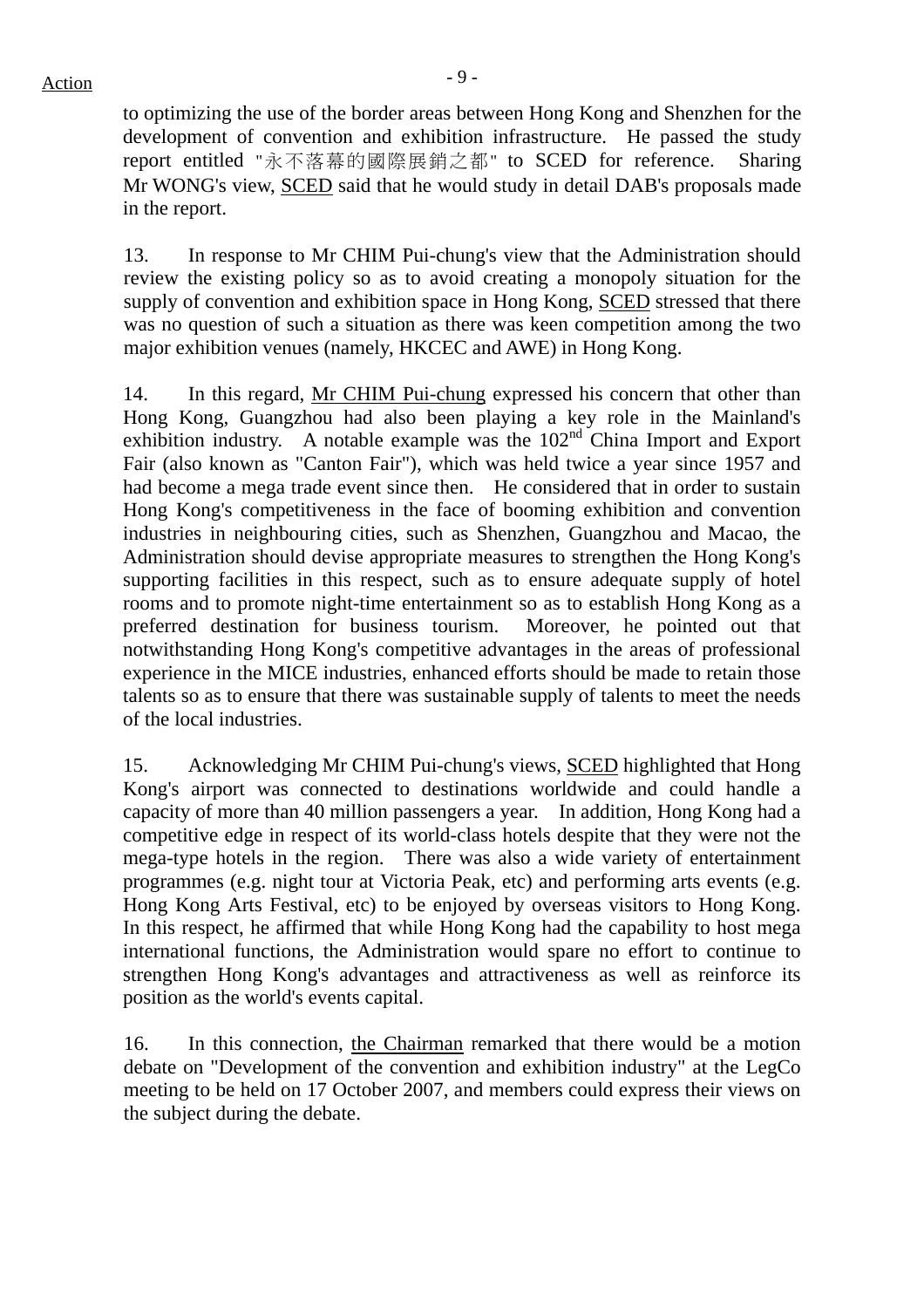to optimizing the use of the border areas between Hong Kong and Shenzhen for the development of convention and exhibition infrastructure. He passed the study report entitled "永不落幕的國際展銷之都" to SCED for reference. Sharing Mr WONG's view, SCED said that he would study in detail DAB's proposals made in the report.

13. In response to Mr CHIM Pui-chung's view that the Administration should review the existing policy so as to avoid creating a monopoly situation for the supply of convention and exhibition space in Hong Kong, SCED stressed that there was no question of such a situation as there was keen competition among the two major exhibition venues (namely, HKCEC and AWE) in Hong Kong.

14. In this regard, Mr CHIM Pui-chung expressed his concern that other than Hong Kong, Guangzhou had also been playing a key role in the Mainland's exhibition industry. A notable example was the  $102<sup>nd</sup>$  China Import and Export Fair (also known as "Canton Fair"), which was held twice a year since 1957 and had become a mega trade event since then. He considered that in order to sustain Hong Kong's competitiveness in the face of booming exhibition and convention industries in neighbouring cities, such as Shenzhen, Guangzhou and Macao, the Administration should devise appropriate measures to strengthen the Hong Kong's supporting facilities in this respect, such as to ensure adequate supply of hotel rooms and to promote night-time entertainment so as to establish Hong Kong as a preferred destination for business tourism. Moreover, he pointed out that notwithstanding Hong Kong's competitive advantages in the areas of professional experience in the MICE industries, enhanced efforts should be made to retain those talents so as to ensure that there was sustainable supply of talents to meet the needs of the local industries.

15. Acknowledging Mr CHIM Pui-chung's views, SCED highlighted that Hong Kong's airport was connected to destinations worldwide and could handle a capacity of more than 40 million passengers a year. In addition, Hong Kong had a competitive edge in respect of its world-class hotels despite that they were not the mega-type hotels in the region. There was also a wide variety of entertainment programmes (e.g. night tour at Victoria Peak, etc) and performing arts events (e.g. Hong Kong Arts Festival, etc) to be enjoyed by overseas visitors to Hong Kong. In this respect, he affirmed that while Hong Kong had the capability to host mega international functions, the Administration would spare no effort to continue to strengthen Hong Kong's advantages and attractiveness as well as reinforce its position as the world's events capital.

16. In this connection, the Chairman remarked that there would be a motion debate on "Development of the convention and exhibition industry" at the LegCo meeting to be held on 17 October 2007, and members could express their views on the subject during the debate.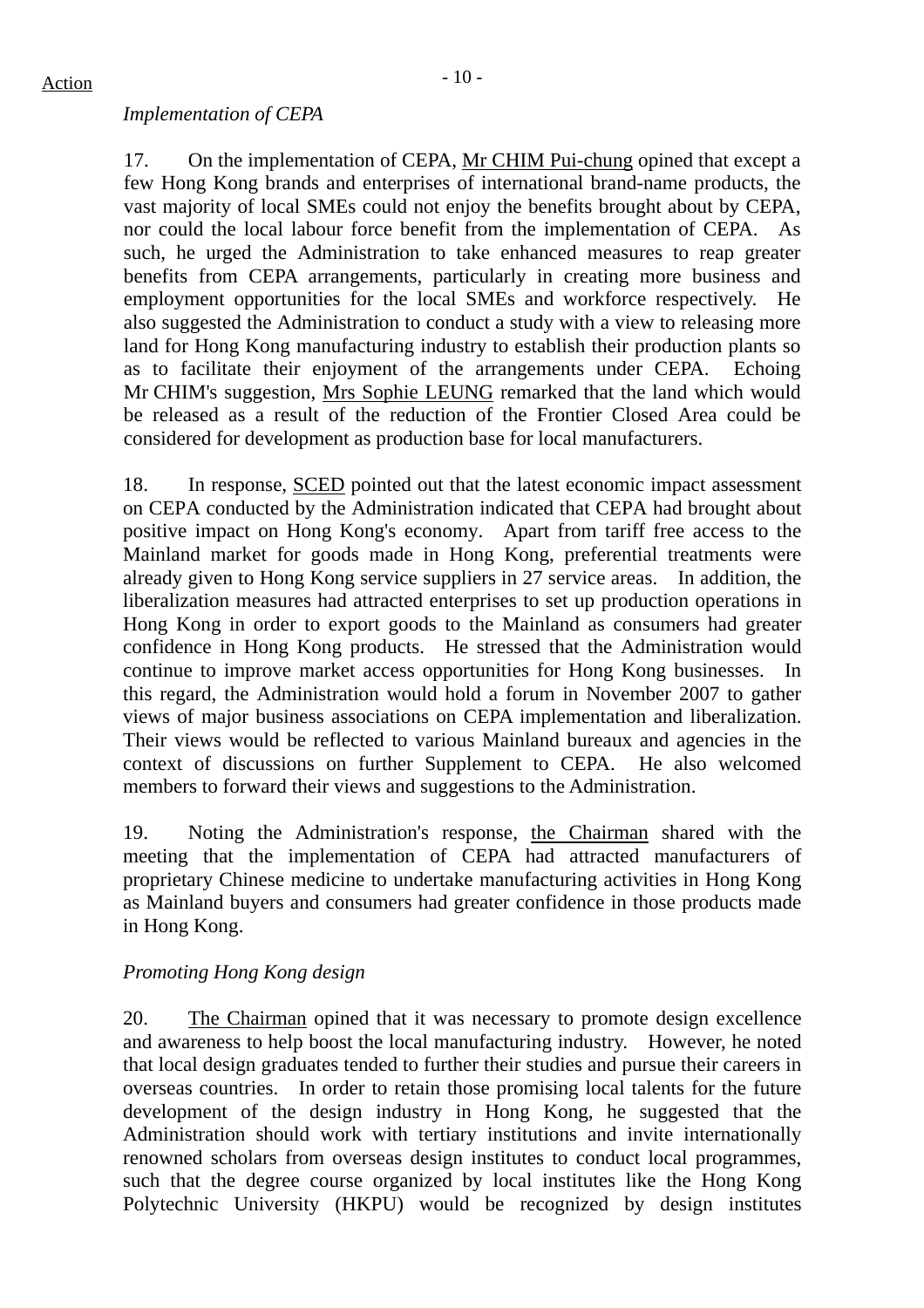#### *Implementation of CEPA*

17. On the implementation of CEPA, Mr CHIM Pui-chung opined that except a few Hong Kong brands and enterprises of international brand-name products, the vast majority of local SMEs could not enjoy the benefits brought about by CEPA, nor could the local labour force benefit from the implementation of CEPA. As such, he urged the Administration to take enhanced measures to reap greater benefits from CEPA arrangements, particularly in creating more business and employment opportunities for the local SMEs and workforce respectively. He also suggested the Administration to conduct a study with a view to releasing more land for Hong Kong manufacturing industry to establish their production plants so as to facilitate their enjoyment of the arrangements under CEPA. Echoing Mr CHIM's suggestion, Mrs Sophie LEUNG remarked that the land which would be released as a result of the reduction of the Frontier Closed Area could be considered for development as production base for local manufacturers.

18. In response, SCED pointed out that the latest economic impact assessment on CEPA conducted by the Administration indicated that CEPA had brought about positive impact on Hong Kong's economy. Apart from tariff free access to the Mainland market for goods made in Hong Kong, preferential treatments were already given to Hong Kong service suppliers in 27 service areas. In addition, the liberalization measures had attracted enterprises to set up production operations in Hong Kong in order to export goods to the Mainland as consumers had greater confidence in Hong Kong products. He stressed that the Administration would continue to improve market access opportunities for Hong Kong businesses. In this regard, the Administration would hold a forum in November 2007 to gather views of major business associations on CEPA implementation and liberalization. Their views would be reflected to various Mainland bureaux and agencies in the context of discussions on further Supplement to CEPA. He also welcomed members to forward their views and suggestions to the Administration.

19. Noting the Administration's response, the Chairman shared with the meeting that the implementation of CEPA had attracted manufacturers of proprietary Chinese medicine to undertake manufacturing activities in Hong Kong as Mainland buyers and consumers had greater confidence in those products made in Hong Kong.

#### *Promoting Hong Kong design*

20. The Chairman opined that it was necessary to promote design excellence and awareness to help boost the local manufacturing industry. However, he noted that local design graduates tended to further their studies and pursue their careers in overseas countries. In order to retain those promising local talents for the future development of the design industry in Hong Kong, he suggested that the Administration should work with tertiary institutions and invite internationally renowned scholars from overseas design institutes to conduct local programmes, such that the degree course organized by local institutes like the Hong Kong Polytechnic University (HKPU) would be recognized by design institutes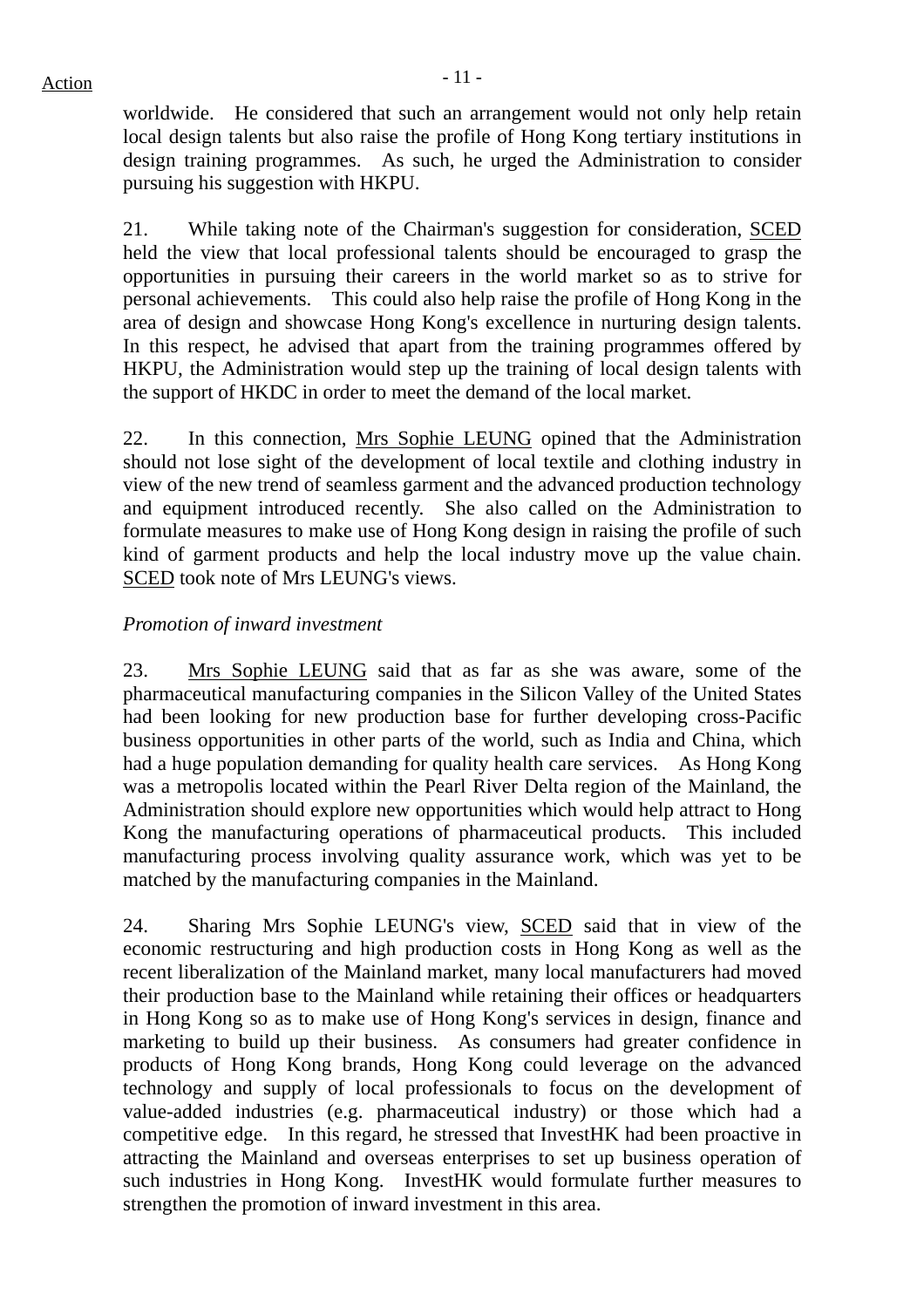worldwide. He considered that such an arrangement would not only help retain local design talents but also raise the profile of Hong Kong tertiary institutions in design training programmes. As such, he urged the Administration to consider pursuing his suggestion with HKPU.

21. While taking note of the Chairman's suggestion for consideration, SCED held the view that local professional talents should be encouraged to grasp the opportunities in pursuing their careers in the world market so as to strive for personal achievements. This could also help raise the profile of Hong Kong in the area of design and showcase Hong Kong's excellence in nurturing design talents. In this respect, he advised that apart from the training programmes offered by HKPU, the Administration would step up the training of local design talents with the support of HKDC in order to meet the demand of the local market.

22. In this connection, Mrs Sophie LEUNG opined that the Administration should not lose sight of the development of local textile and clothing industry in view of the new trend of seamless garment and the advanced production technology and equipment introduced recently. She also called on the Administration to formulate measures to make use of Hong Kong design in raising the profile of such kind of garment products and help the local industry move up the value chain. SCED took note of Mrs LEUNG's views.

## *Promotion of inward investment*

23. Mrs Sophie LEUNG said that as far as she was aware, some of the pharmaceutical manufacturing companies in the Silicon Valley of the United States had been looking for new production base for further developing cross-Pacific business opportunities in other parts of the world, such as India and China, which had a huge population demanding for quality health care services. As Hong Kong was a metropolis located within the Pearl River Delta region of the Mainland, the Administration should explore new opportunities which would help attract to Hong Kong the manufacturing operations of pharmaceutical products. This included manufacturing process involving quality assurance work, which was yet to be matched by the manufacturing companies in the Mainland.

24. Sharing Mrs Sophie LEUNG's view, SCED said that in view of the economic restructuring and high production costs in Hong Kong as well as the recent liberalization of the Mainland market, many local manufacturers had moved their production base to the Mainland while retaining their offices or headquarters in Hong Kong so as to make use of Hong Kong's services in design, finance and marketing to build up their business. As consumers had greater confidence in products of Hong Kong brands, Hong Kong could leverage on the advanced technology and supply of local professionals to focus on the development of value-added industries (e.g. pharmaceutical industry) or those which had a competitive edge. In this regard, he stressed that InvestHK had been proactive in attracting the Mainland and overseas enterprises to set up business operation of such industries in Hong Kong. InvestHK would formulate further measures to strengthen the promotion of inward investment in this area.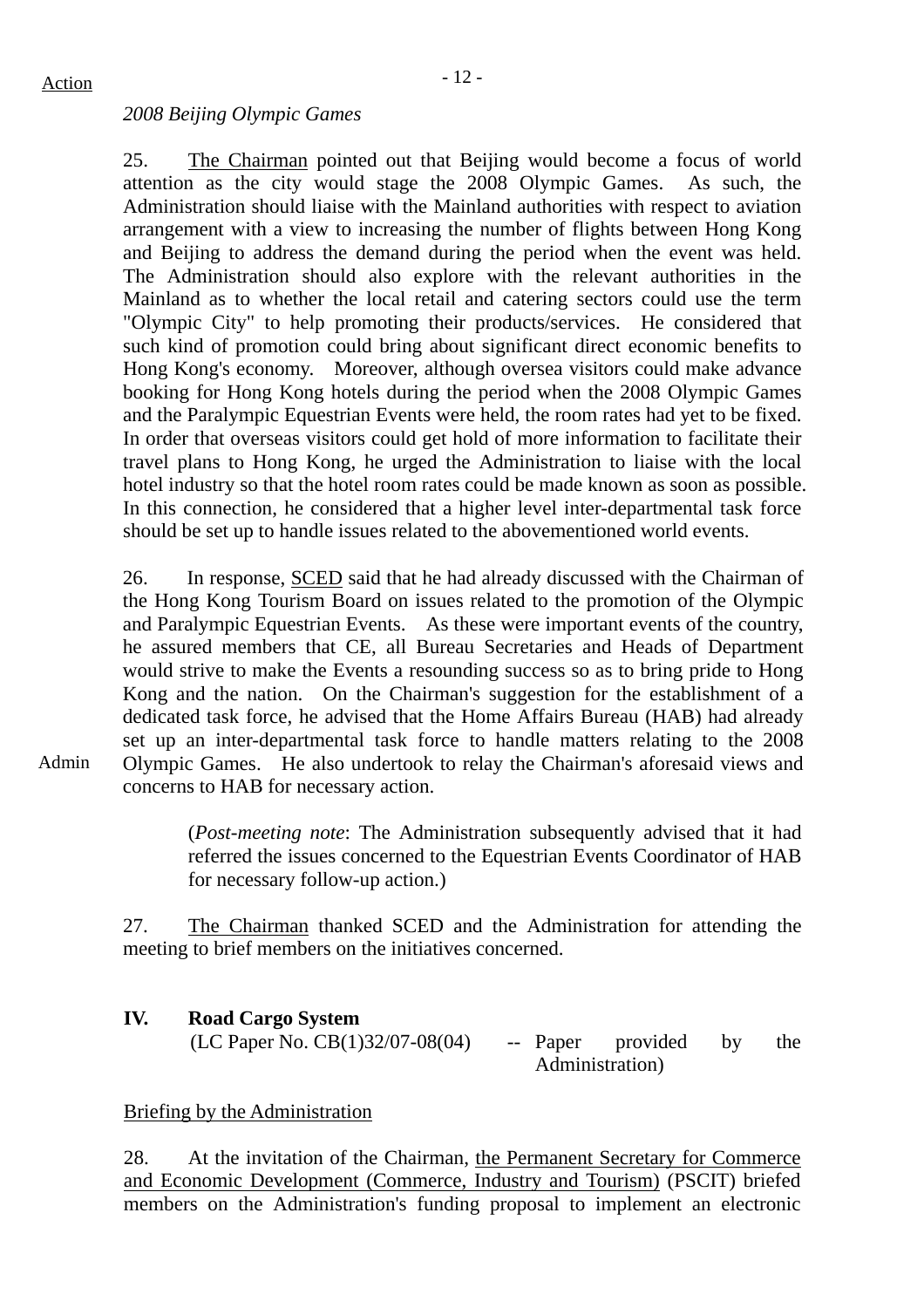#### *2008 Beijing Olympic Games*

25. The Chairman pointed out that Beijing would become a focus of world attention as the city would stage the 2008 Olympic Games. As such, the Administration should liaise with the Mainland authorities with respect to aviation arrangement with a view to increasing the number of flights between Hong Kong and Beijing to address the demand during the period when the event was held. The Administration should also explore with the relevant authorities in the Mainland as to whether the local retail and catering sectors could use the term "Olympic City" to help promoting their products/services. He considered that such kind of promotion could bring about significant direct economic benefits to Hong Kong's economy. Moreover, although oversea visitors could make advance booking for Hong Kong hotels during the period when the 2008 Olympic Games and the Paralympic Equestrian Events were held, the room rates had yet to be fixed. In order that overseas visitors could get hold of more information to facilitate their travel plans to Hong Kong, he urged the Administration to liaise with the local hotel industry so that the hotel room rates could be made known as soon as possible. In this connection, he considered that a higher level inter-departmental task force should be set up to handle issues related to the abovementioned world events.

26. In response, SCED said that he had already discussed with the Chairman of the Hong Kong Tourism Board on issues related to the promotion of the Olympic and Paralympic Equestrian Events. As these were important events of the country, he assured members that CE, all Bureau Secretaries and Heads of Department would strive to make the Events a resounding success so as to bring pride to Hong Kong and the nation. On the Chairman's suggestion for the establishment of a dedicated task force, he advised that the Home Affairs Bureau (HAB) had already set up an inter-departmental task force to handle matters relating to the 2008 Olympic Games. He also undertook to relay the Chairman's aforesaid views and concerns to HAB for necessary action.

Admin

(*Post-meeting note*: The Administration subsequently advised that it had referred the issues concerned to the Equestrian Events Coordinator of HAB for necessary follow-up action.)

27. The Chairman thanked SCED and the Administration for attending the meeting to brief members on the initiatives concerned.

#### **IV. Road Cargo System**

 $(LC$  Paper No.  $CB(1)32/07-08(04)$  -- Paper provided by the Administration)

Briefing by the Administration

28. At the invitation of the Chairman, the Permanent Secretary for Commerce and Economic Development (Commerce, Industry and Tourism) (PSCIT) briefed members on the Administration's funding proposal to implement an electronic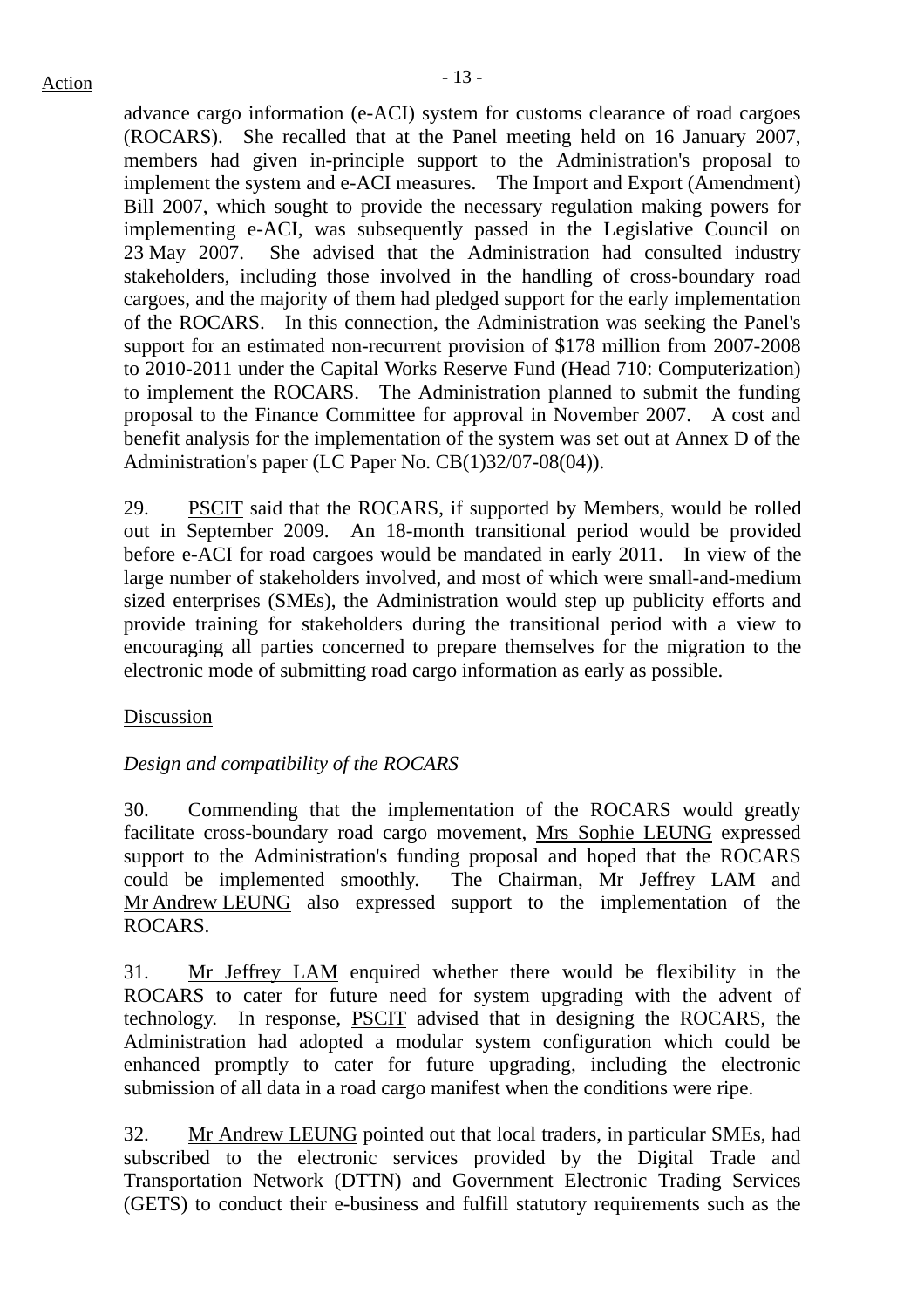advance cargo information (e-ACI) system for customs clearance of road cargoes (ROCARS). She recalled that at the Panel meeting held on 16 January 2007, members had given in-principle support to the Administration's proposal to implement the system and e-ACI measures. The Import and Export (Amendment) Bill 2007, which sought to provide the necessary regulation making powers for implementing e-ACI, was subsequently passed in the Legislative Council on 23 May 2007. She advised that the Administration had consulted industry stakeholders, including those involved in the handling of cross-boundary road cargoes, and the majority of them had pledged support for the early implementation of the ROCARS. In this connection, the Administration was seeking the Panel's support for an estimated non-recurrent provision of \$178 million from 2007-2008 to 2010-2011 under the Capital Works Reserve Fund (Head 710: Computerization) to implement the ROCARS. The Administration planned to submit the funding proposal to the Finance Committee for approval in November 2007. A cost and benefit analysis for the implementation of the system was set out at Annex D of the Administration's paper (LC Paper No. CB(1)32/07-08(04)).

29. PSCIT said that the ROCARS, if supported by Members, would be rolled out in September 2009. An 18-month transitional period would be provided before e-ACI for road cargoes would be mandated in early 2011. In view of the large number of stakeholders involved, and most of which were small-and-medium sized enterprises (SMEs), the Administration would step up publicity efforts and provide training for stakeholders during the transitional period with a view to encouraging all parties concerned to prepare themselves for the migration to the electronic mode of submitting road cargo information as early as possible.

## Discussion

## *Design and compatibility of the ROCARS*

30. Commending that the implementation of the ROCARS would greatly facilitate cross-boundary road cargo movement, Mrs Sophie LEUNG expressed support to the Administration's funding proposal and hoped that the ROCARS could be implemented smoothly. The Chairman, Mr Jeffrey LAM and Mr Andrew LEUNG also expressed support to the implementation of the ROCARS.

31. Mr Jeffrey LAM enquired whether there would be flexibility in the ROCARS to cater for future need for system upgrading with the advent of technology. In response, PSCIT advised that in designing the ROCARS, the Administration had adopted a modular system configuration which could be enhanced promptly to cater for future upgrading, including the electronic submission of all data in a road cargo manifest when the conditions were ripe.

32. Mr Andrew LEUNG pointed out that local traders, in particular SMEs, had subscribed to the electronic services provided by the Digital Trade and Transportation Network (DTTN) and Government Electronic Trading Services (GETS) to conduct their e-business and fulfill statutory requirements such as the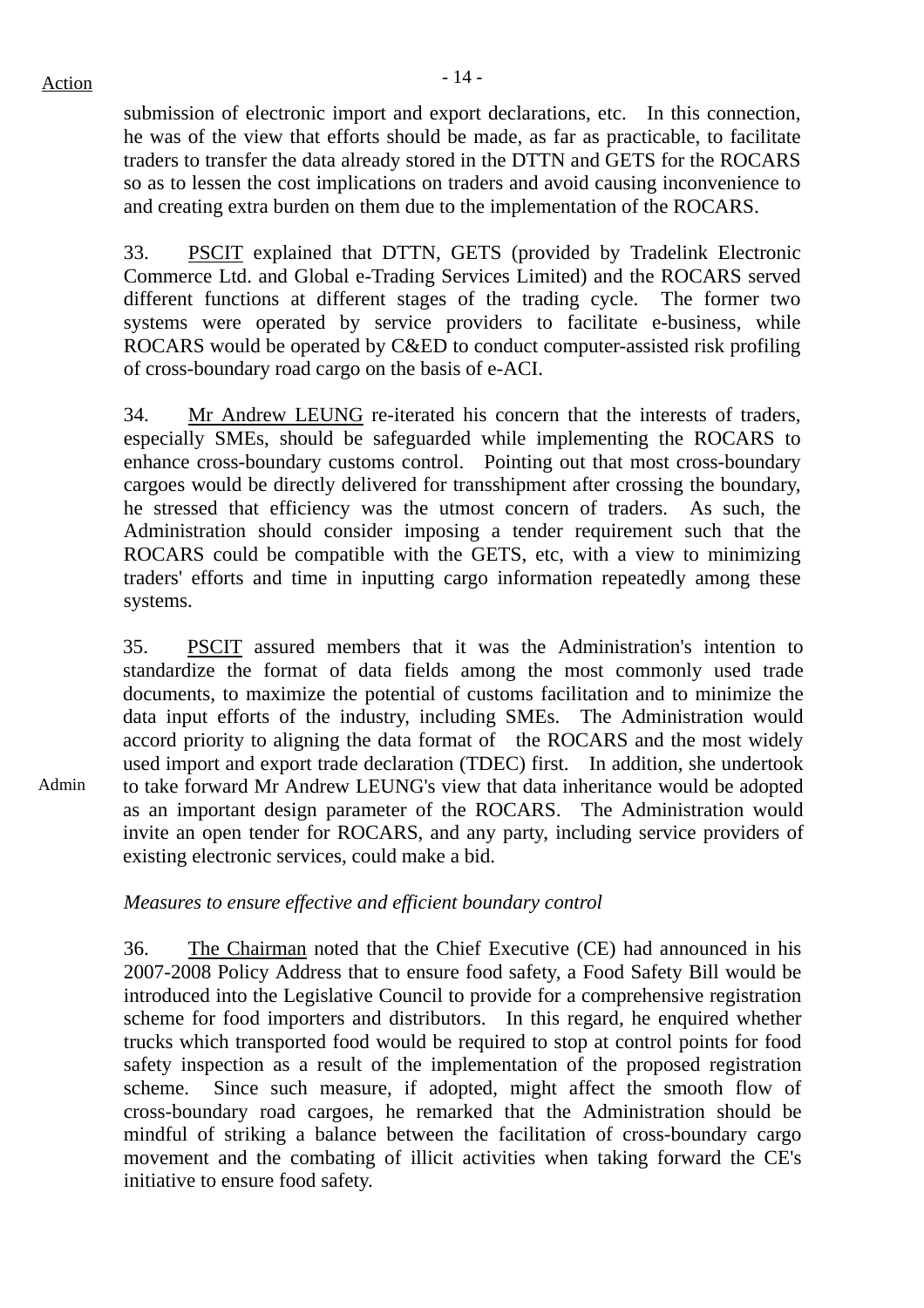Admin

submission of electronic import and export declarations, etc. In this connection, he was of the view that efforts should be made, as far as practicable, to facilitate traders to transfer the data already stored in the DTTN and GETS for the ROCARS so as to lessen the cost implications on traders and avoid causing inconvenience to and creating extra burden on them due to the implementation of the ROCARS.

33. PSCIT explained that DTTN, GETS (provided by Tradelink Electronic Commerce Ltd. and Global e-Trading Services Limited) and the ROCARS served different functions at different stages of the trading cycle. The former two systems were operated by service providers to facilitate e-business, while ROCARS would be operated by C&ED to conduct computer-assisted risk profiling of cross-boundary road cargo on the basis of e-ACI.

34. Mr Andrew LEUNG re-iterated his concern that the interests of traders, especially SMEs, should be safeguarded while implementing the ROCARS to enhance cross-boundary customs control. Pointing out that most cross-boundary cargoes would be directly delivered for transshipment after crossing the boundary, he stressed that efficiency was the utmost concern of traders. As such, the Administration should consider imposing a tender requirement such that the ROCARS could be compatible with the GETS, etc, with a view to minimizing traders' efforts and time in inputting cargo information repeatedly among these systems.

35. PSCIT assured members that it was the Administration's intention to standardize the format of data fields among the most commonly used trade documents, to maximize the potential of customs facilitation and to minimize the data input efforts of the industry, including SMEs. The Administration would accord priority to aligning the data format of the ROCARS and the most widely used import and export trade declaration (TDEC) first. In addition, she undertook to take forward Mr Andrew LEUNG's view that data inheritance would be adopted as an important design parameter of the ROCARS. The Administration would invite an open tender for ROCARS, and any party, including service providers of existing electronic services, could make a bid.

## *Measures to ensure effective and efficient boundary control*

36. The Chairman noted that the Chief Executive (CE) had announced in his 2007-2008 Policy Address that to ensure food safety, a Food Safety Bill would be introduced into the Legislative Council to provide for a comprehensive registration scheme for food importers and distributors. In this regard, he enquired whether trucks which transported food would be required to stop at control points for food safety inspection as a result of the implementation of the proposed registration scheme. Since such measure, if adopted, might affect the smooth flow of cross-boundary road cargoes, he remarked that the Administration should be mindful of striking a balance between the facilitation of cross-boundary cargo movement and the combating of illicit activities when taking forward the CE's initiative to ensure food safety.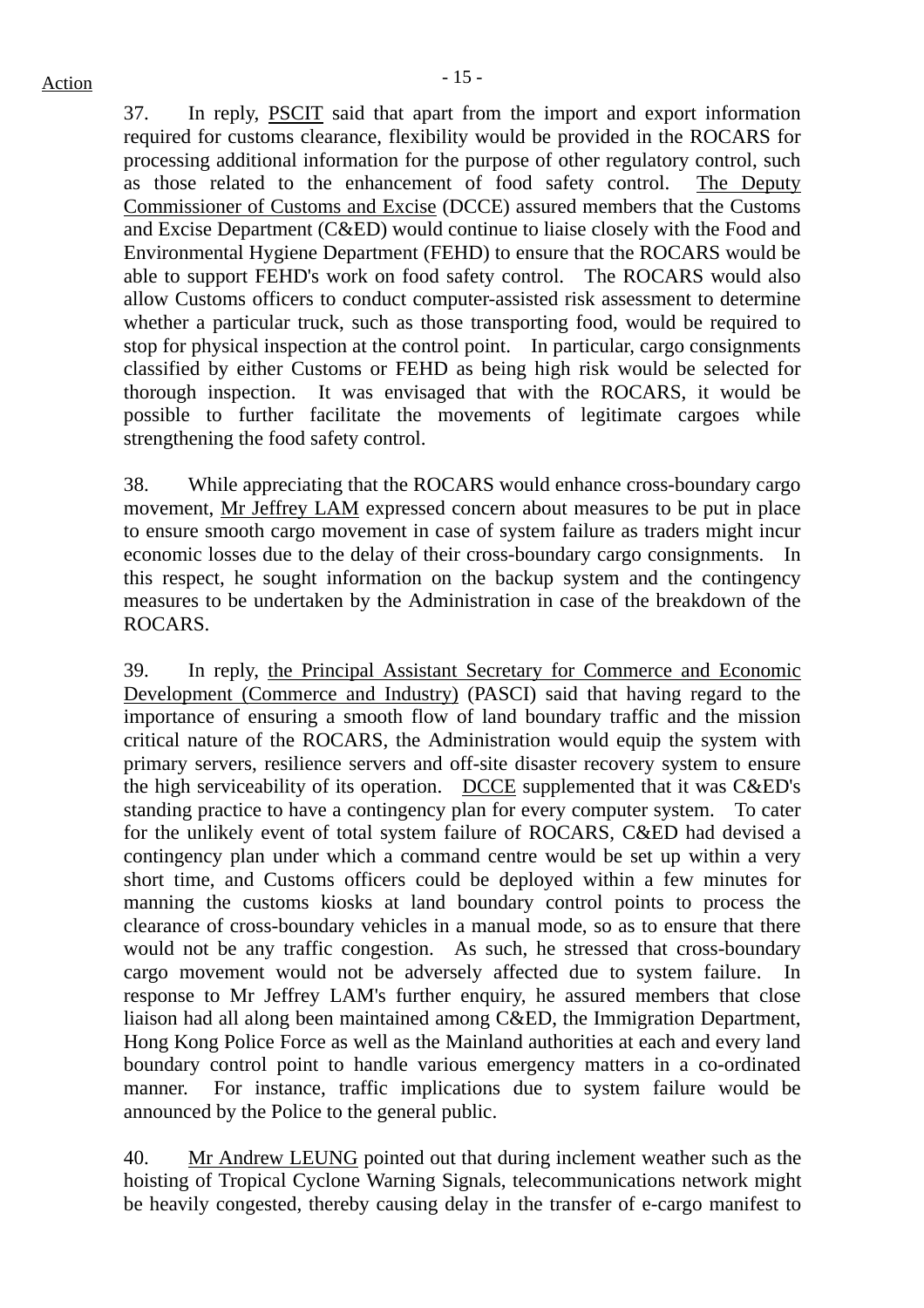37. In reply, PSCIT said that apart from the import and export information required for customs clearance, flexibility would be provided in the ROCARS for processing additional information for the purpose of other regulatory control, such as those related to the enhancement of food safety control. The Deputy Commissioner of Customs and Excise (DCCE) assured members that the Customs and Excise Department (C&ED) would continue to liaise closely with the Food and Environmental Hygiene Department (FEHD) to ensure that the ROCARS would be able to support FEHD's work on food safety control. The ROCARS would also allow Customs officers to conduct computer-assisted risk assessment to determine whether a particular truck, such as those transporting food, would be required to stop for physical inspection at the control point. In particular, cargo consignments classified by either Customs or FEHD as being high risk would be selected for thorough inspection. It was envisaged that with the ROCARS, it would be possible to further facilitate the movements of legitimate cargoes while strengthening the food safety control.

38. While appreciating that the ROCARS would enhance cross-boundary cargo movement, Mr Jeffrey LAM expressed concern about measures to be put in place to ensure smooth cargo movement in case of system failure as traders might incur economic losses due to the delay of their cross-boundary cargo consignments. In this respect, he sought information on the backup system and the contingency measures to be undertaken by the Administration in case of the breakdown of the ROCARS.

39. In reply, the Principal Assistant Secretary for Commerce and Economic Development (Commerce and Industry) (PASCI) said that having regard to the importance of ensuring a smooth flow of land boundary traffic and the mission critical nature of the ROCARS, the Administration would equip the system with primary servers, resilience servers and off-site disaster recovery system to ensure the high serviceability of its operation. DCCE supplemented that it was C&ED's standing practice to have a contingency plan for every computer system. To cater for the unlikely event of total system failure of ROCARS, C&ED had devised a contingency plan under which a command centre would be set up within a very short time, and Customs officers could be deployed within a few minutes for manning the customs kiosks at land boundary control points to process the clearance of cross-boundary vehicles in a manual mode, so as to ensure that there would not be any traffic congestion. As such, he stressed that cross-boundary cargo movement would not be adversely affected due to system failure. In response to Mr Jeffrey LAM's further enquiry, he assured members that close liaison had all along been maintained among C&ED, the Immigration Department, Hong Kong Police Force as well as the Mainland authorities at each and every land boundary control point to handle various emergency matters in a co-ordinated manner. For instance, traffic implications due to system failure would be announced by the Police to the general public.

40. Mr Andrew LEUNG pointed out that during inclement weather such as the hoisting of Tropical Cyclone Warning Signals, telecommunications network might be heavily congested, thereby causing delay in the transfer of e-cargo manifest to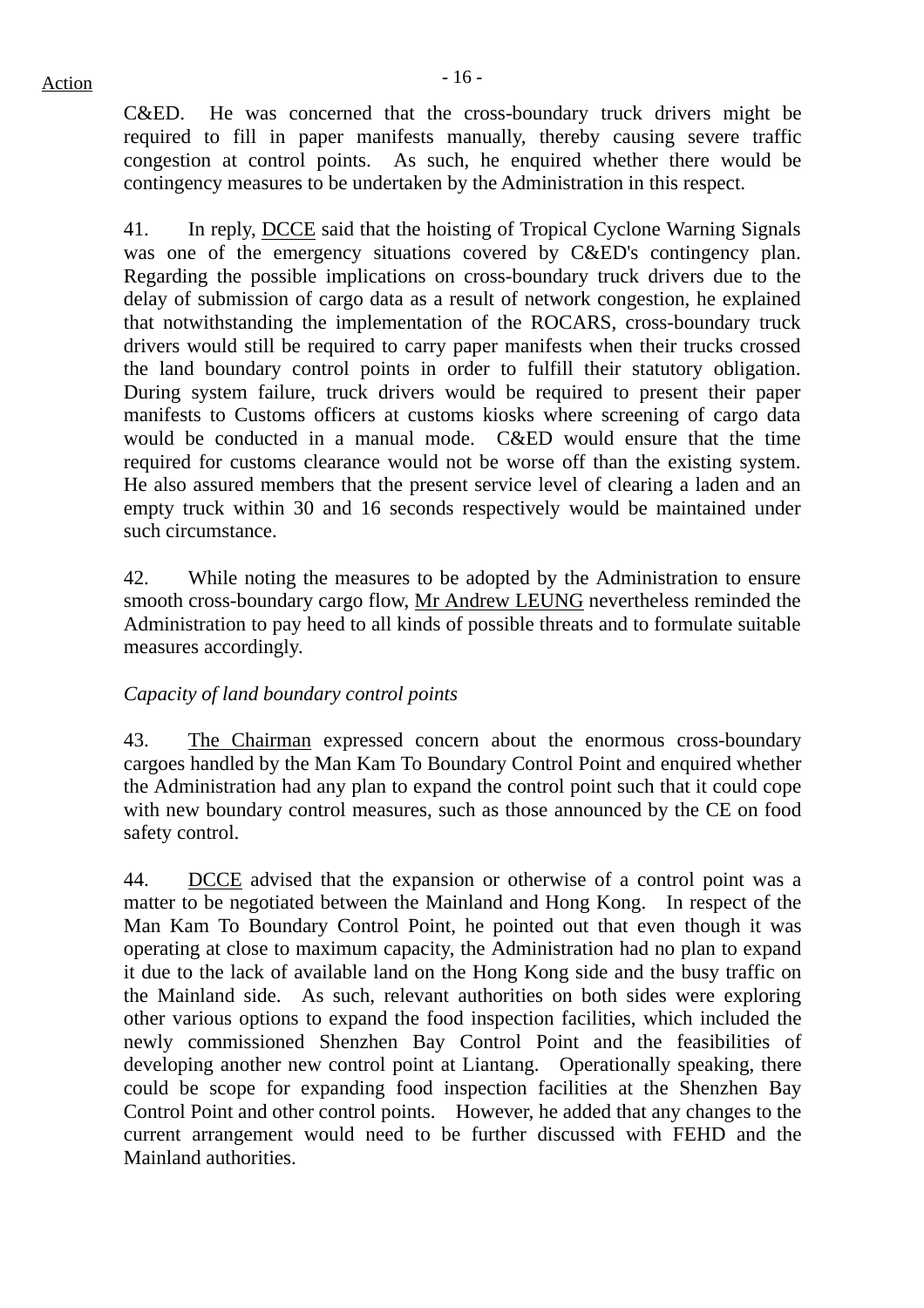C&ED. He was concerned that the cross-boundary truck drivers might be required to fill in paper manifests manually, thereby causing severe traffic congestion at control points. As such, he enquired whether there would be contingency measures to be undertaken by the Administration in this respect.

41. In reply, DCCE said that the hoisting of Tropical Cyclone Warning Signals was one of the emergency situations covered by C&ED's contingency plan. Regarding the possible implications on cross-boundary truck drivers due to the delay of submission of cargo data as a result of network congestion, he explained that notwithstanding the implementation of the ROCARS, cross-boundary truck drivers would still be required to carry paper manifests when their trucks crossed the land boundary control points in order to fulfill their statutory obligation. During system failure, truck drivers would be required to present their paper manifests to Customs officers at customs kiosks where screening of cargo data would be conducted in a manual mode. C&ED would ensure that the time required for customs clearance would not be worse off than the existing system. He also assured members that the present service level of clearing a laden and an empty truck within 30 and 16 seconds respectively would be maintained under such circumstance.

42. While noting the measures to be adopted by the Administration to ensure smooth cross-boundary cargo flow, Mr Andrew LEUNG nevertheless reminded the Administration to pay heed to all kinds of possible threats and to formulate suitable measures accordingly.

## *Capacity of land boundary control points*

43. The Chairman expressed concern about the enormous cross-boundary cargoes handled by the Man Kam To Boundary Control Point and enquired whether the Administration had any plan to expand the control point such that it could cope with new boundary control measures, such as those announced by the CE on food safety control.

44. DCCE advised that the expansion or otherwise of a control point was a matter to be negotiated between the Mainland and Hong Kong. In respect of the Man Kam To Boundary Control Point, he pointed out that even though it was operating at close to maximum capacity, the Administration had no plan to expand it due to the lack of available land on the Hong Kong side and the busy traffic on the Mainland side. As such, relevant authorities on both sides were exploring other various options to expand the food inspection facilities, which included the newly commissioned Shenzhen Bay Control Point and the feasibilities of developing another new control point at Liantang. Operationally speaking, there could be scope for expanding food inspection facilities at the Shenzhen Bay Control Point and other control points. However, he added that any changes to the current arrangement would need to be further discussed with FEHD and the Mainland authorities.